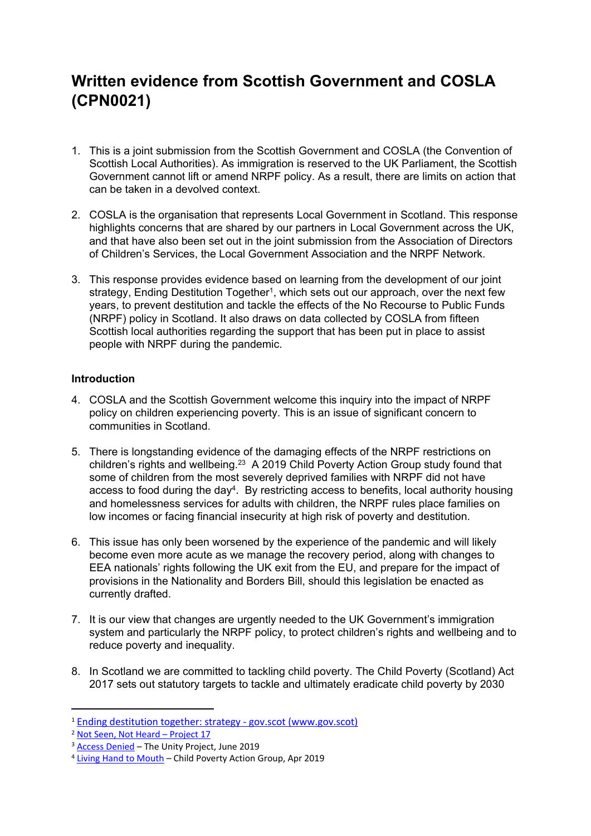# **Written evidence from Scottish Government and COSLA (CPN0021)**

- 1. This is a joint submission from the Scottish Government and COSLA (the Convention of Scottish Local Authorities). As immigration is reserved to the UK Parliament, the Scottish Government cannot lift or amend NRPF policy. As a result, there are limits on action that can be taken in a devolved context.
- 2. COSLA is the organisation that represents Local Government in Scotland. This response highlights concerns that are shared by our partners in Local Government across the UK, and that have also been set out in the joint submission from the Association of Directors of Children's Services, the Local Government Association and the NRPF Network.
- 3. This response provides evidence based on learning from the development of our joint strategy, Ending Destitution Together<sup>1</sup>, which sets out our approach, over the next few years, to prevent destitution and tackle the effects of the No Recourse to Public Funds (NRPF) policy in Scotland. It also draws on data collected by COSLA from fifteen Scottish local authorities regarding the support that has been put in place to assist people with NRPF during the pandemic.

# **Introduction**

- 4. COSLA and the Scottish Government welcome this inquiry into the impact of NRPF policy on children experiencing poverty. This is an issue of significant concern to communities in Scotland.
- 5. There is longstanding evidence of the damaging effects of the NRPF restrictions on children's rights and wellbeing.<sup>23</sup> A 2019 Child Poverty Action Group study found that some of children from the most severely deprived families with NRPF did not have access to food during the day<sup>4</sup>. By restricting access to benefits, local authority housing and homelessness services for adults with children, the NRPF rules place families on low incomes or facing financial insecurity at high risk of poverty and destitution.
- 6. This issue has only been worsened by the experience of the pandemic and will likely become even more acute as we manage the recovery period, along with changes to EEA nationals' rights following the UK exit from the EU, and prepare for the impact of provisions in the Nationality and Borders Bill, should this legislation be enacted as currently drafted.
- 7. It is our view that changes are urgently needed to the UK Government's immigration system and particularly the NRPF policy, to protect children's rights and wellbeing and to reduce poverty and inequality.
- 8. In Scotland we are committed to tackling child poverty. The Child Poverty (Scotland) Act 2017 sets out statutory targets to tackle and ultimately eradicate child poverty by 2030

<sup>1</sup> [Ending](https://www.gov.scot/publications/ending-destitution-together/) [destitution](https://www.gov.scot/publications/ending-destitution-together/) [together:](https://www.gov.scot/publications/ending-destitution-together/) [strategy](https://www.gov.scot/publications/ending-destitution-together/) [-](https://www.gov.scot/publications/ending-destitution-together/) [gov.scot](https://www.gov.scot/publications/ending-destitution-together/) [\(www.gov.scot\)](https://www.gov.scot/publications/ending-destitution-together/)

<sup>2</sup> [Not](https://drive.google.com/file/d/1zsVpKqJ0hohTLJjV4KDPuQppwQnqneeN/view) [Seen,](https://drive.google.com/file/d/1zsVpKqJ0hohTLJjV4KDPuQppwQnqneeN/view) [Not](https://drive.google.com/file/d/1zsVpKqJ0hohTLJjV4KDPuQppwQnqneeN/view) [Heard](https://drive.google.com/file/d/1zsVpKqJ0hohTLJjV4KDPuQppwQnqneeN/view) [–](https://drive.google.com/file/d/1zsVpKqJ0hohTLJjV4KDPuQppwQnqneeN/view) [Project](https://drive.google.com/file/d/1zsVpKqJ0hohTLJjV4KDPuQppwQnqneeN/view) [17](https://drive.google.com/file/d/1zsVpKqJ0hohTLJjV4KDPuQppwQnqneeN/view)

<sup>&</sup>lt;sup>3</sup> [Access](https://static1.squarespace.com/static/590060b0893fc01f949b1c8a/t/5d0bb6100099f70001faad9c/1561048725178/Access+Denied+-+the+cost+of+the+No+Recourse+to+Public+Funds+policy.+The+Unity+Project.+June+2019.pdf) [Denied](https://static1.squarespace.com/static/590060b0893fc01f949b1c8a/t/5d0bb6100099f70001faad9c/1561048725178/Access+Denied+-+the+cost+of+the+No+Recourse+to+Public+Funds+policy.+The+Unity+Project.+June+2019.pdf) – The Unity Project, June 2019

<sup>4</sup> [Living](https://cpag.org.uk/policy-and-campaigns/briefing/living-hand-mouth) [Hand](https://cpag.org.uk/policy-and-campaigns/briefing/living-hand-mouth) [to](https://cpag.org.uk/policy-and-campaigns/briefing/living-hand-mouth) [Mouth](https://cpag.org.uk/policy-and-campaigns/briefing/living-hand-mouth) – Child Poverty Action Group, Apr 2019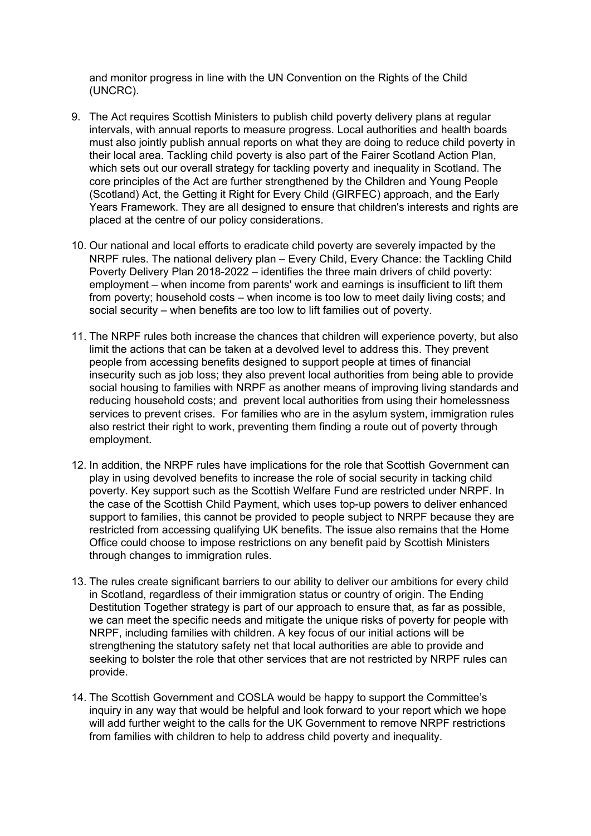and monitor progress in line with the UN Convention on the Rights of the Child (UNCRC).

- 9. The Act requires Scottish Ministers to publish child poverty delivery plans at regular intervals, with annual reports to measure progress. Local authorities and health boards must also jointly publish annual reports on what they are doing to reduce child poverty in their local area. Tackling child poverty is also part of the Fairer Scotland Action Plan, which sets out our overall strategy for tackling poverty and inequality in Scotland. The core principles of the Act are further strengthened by the Children and Young People (Scotland) Act, the Getting it Right for Every Child (GIRFEC) approach, and the Early Years Framework. They are all designed to ensure that children's interests and rights are placed at the centre of our policy considerations.
- 10. Our national and local efforts to eradicate child poverty are severely impacted by the NRPF rules. The national delivery plan – Every Child, Every Chance: the Tackling Child Poverty Delivery Plan 2018-2022 – identifies the three main drivers of child poverty: employment – when income from parents' work and earnings is insufficient to lift them from poverty; household costs – when income is too low to meet daily living costs; and social security – when benefits are too low to lift families out of poverty.
- 11. The NRPF rules both increase the chances that children will experience poverty, but also limit the actions that can be taken at a devolved level to address this. They prevent people from accessing benefits designed to support people at times of financial insecurity such as job loss; they also prevent local authorities from being able to provide social housing to families with NRPF as another means of improving living standards and reducing household costs; and prevent local authorities from using their homelessness services to prevent crises. For families who are in the asylum system, immigration rules also restrict their right to work, preventing them finding a route out of poverty through employment.
- 12. In addition, the NRPF rules have implications for the role that Scottish Government can play in using devolved benefits to increase the role of social security in tacking child poverty. Key support such as the Scottish Welfare Fund are restricted under NRPF. In the case of the Scottish Child Payment, which uses top-up powers to deliver enhanced support to families, this cannot be provided to people subject to NRPF because they are restricted from accessing qualifying UK benefits. The issue also remains that the Home Office could choose to impose restrictions on any benefit paid by Scottish Ministers through changes to immigration rules.
- 13. The rules create significant barriers to our ability to deliver our ambitions for every child in Scotland, regardless of their immigration status or country of origin. The Ending Destitution Together strategy is part of our approach to ensure that, as far as possible, we can meet the specific needs and mitigate the unique risks of poverty for people with NRPF, including families with children. A key focus of our initial actions will be strengthening the statutory safety net that local authorities are able to provide and seeking to bolster the role that other services that are not restricted by NRPF rules can provide.
- 14. The Scottish Government and COSLA would be happy to support the Committee's inquiry in any way that would be helpful and look forward to your report which we hope will add further weight to the calls for the UK Government to remove NRPF restrictions from families with children to help to address child poverty and inequality.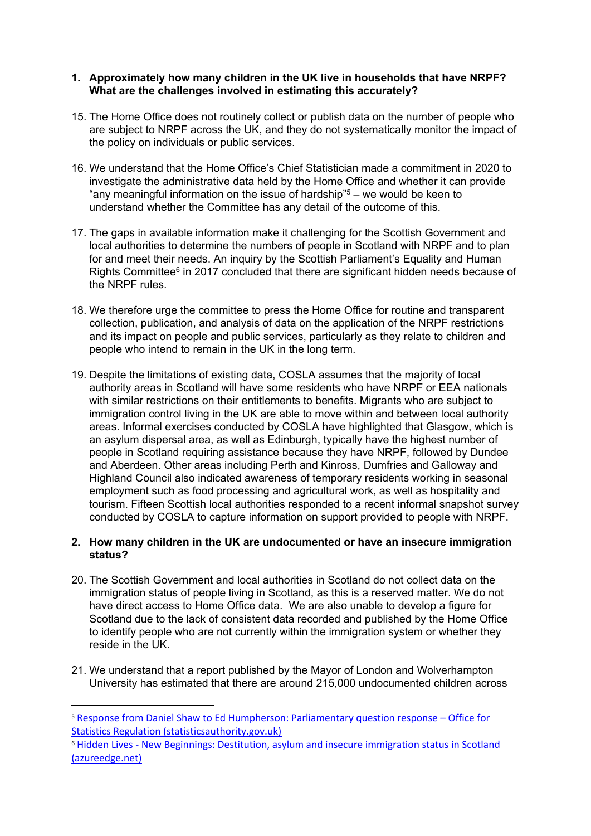## **1. Approximately how many children in the UK live in households that have NRPF? What are the challenges involved in estimating this accurately?**

- 15. The Home Office does not routinely collect or publish data on the number of people who are subject to NRPF across the UK, and they do not systematically monitor the impact of the policy on individuals or public services.
- 16. We understand that the Home Office's Chief Statistician made a commitment in 2020 to investigate the administrative data held by the Home Office and whether it can provide "any meaningful information on the issue of hardship"<sup>5</sup> – we would be keen to understand whether the Committee has any detail of the outcome of this.
- 17. The gaps in available information make it challenging for the Scottish Government and local authorities to determine the numbers of people in Scotland with NRPF and to plan for and meet their needs. An inquiry by the Scottish Parliament's Equality and Human Rights Committee<sup>6</sup> in 2017 concluded that there are significant hidden needs because of the NRPF rules.
- 18. We therefore urge the committee to press the Home Office for routine and transparent collection, publication, and analysis of data on the application of the NRPF restrictions and its impact on people and public services, particularly as they relate to children and people who intend to remain in the UK in the long term.
- 19. Despite the limitations of existing data, COSLA assumes that the majority of local authority areas in Scotland will have some residents who have NRPF or EEA nationals with similar restrictions on their entitlements to benefits. Migrants who are subject to immigration control living in the UK are able to move within and between local authority areas. Informal exercises conducted by COSLA have highlighted that Glasgow, which is an asylum dispersal area, as well as Edinburgh, typically have the highest number of people in Scotland requiring assistance because they have NRPF, followed by Dundee and Aberdeen. Other areas including Perth and Kinross, Dumfries and Galloway and Highland Council also indicated awareness of temporary residents working in seasonal employment such as food processing and agricultural work, as well as hospitality and tourism. Fifteen Scottish local authorities responded to a recent informal snapshot survey conducted by COSLA to capture information on support provided to people with NRPF.

## **2. How many children in the UK are undocumented or have an insecure immigration status?**

- 20. The Scottish Government and local authorities in Scotland do not collect data on the immigration status of people living in Scotland, as this is a reserved matter. We do not have direct access to Home Office data. We are also unable to develop a figure for Scotland due to the lack of consistent data recorded and published by the Home Office to identify people who are not currently within the immigration system or whether they reside in the UK.
- 21. We understand that a report published by the Mayor of London and Wolverhampton University has estimated that there are around 215,000 undocumented children across

<sup>5</sup> [Response](https://osr.statisticsauthority.gov.uk/correspondence/response-from-daniel-shaw-to-ed-humpherson-parliamentary-question-response/) [from](https://osr.statisticsauthority.gov.uk/correspondence/response-from-daniel-shaw-to-ed-humpherson-parliamentary-question-response/) [Daniel](https://osr.statisticsauthority.gov.uk/correspondence/response-from-daniel-shaw-to-ed-humpherson-parliamentary-question-response/) [Shaw](https://osr.statisticsauthority.gov.uk/correspondence/response-from-daniel-shaw-to-ed-humpherson-parliamentary-question-response/) [to](https://osr.statisticsauthority.gov.uk/correspondence/response-from-daniel-shaw-to-ed-humpherson-parliamentary-question-response/) [Ed](https://osr.statisticsauthority.gov.uk/correspondence/response-from-daniel-shaw-to-ed-humpherson-parliamentary-question-response/) [Humpherson:](https://osr.statisticsauthority.gov.uk/correspondence/response-from-daniel-shaw-to-ed-humpherson-parliamentary-question-response/) [Parliamentary](https://osr.statisticsauthority.gov.uk/correspondence/response-from-daniel-shaw-to-ed-humpherson-parliamentary-question-response/) [question](https://osr.statisticsauthority.gov.uk/correspondence/response-from-daniel-shaw-to-ed-humpherson-parliamentary-question-response/) [response](https://osr.statisticsauthority.gov.uk/correspondence/response-from-daniel-shaw-to-ed-humpherson-parliamentary-question-response/) [–](https://osr.statisticsauthority.gov.uk/correspondence/response-from-daniel-shaw-to-ed-humpherson-parliamentary-question-response/) [Office](https://osr.statisticsauthority.gov.uk/correspondence/response-from-daniel-shaw-to-ed-humpherson-parliamentary-question-response/) [for](https://osr.statisticsauthority.gov.uk/correspondence/response-from-daniel-shaw-to-ed-humpherson-parliamentary-question-response/) [Statistics](https://osr.statisticsauthority.gov.uk/correspondence/response-from-daniel-shaw-to-ed-humpherson-parliamentary-question-response/) [Regulation](https://osr.statisticsauthority.gov.uk/correspondence/response-from-daniel-shaw-to-ed-humpherson-parliamentary-question-response/) [\(statisticsauthority.gov.uk\)](https://osr.statisticsauthority.gov.uk/correspondence/response-from-daniel-shaw-to-ed-humpherson-parliamentary-question-response/)

<sup>6</sup> [Hidden](https://sp-bpr-en-prod-cdnep.azureedge.net/published/EHRiC/2017/5/22/Hidden-Lives---New-Beginnings--Destitution--asylum-and-insecure-immigration-status-in-Scotland/3rd%20Report.pdf) [Lives](https://sp-bpr-en-prod-cdnep.azureedge.net/published/EHRiC/2017/5/22/Hidden-Lives---New-Beginnings--Destitution--asylum-and-insecure-immigration-status-in-Scotland/3rd%20Report.pdf) [-](https://sp-bpr-en-prod-cdnep.azureedge.net/published/EHRiC/2017/5/22/Hidden-Lives---New-Beginnings--Destitution--asylum-and-insecure-immigration-status-in-Scotland/3rd%20Report.pdf) [New](https://sp-bpr-en-prod-cdnep.azureedge.net/published/EHRiC/2017/5/22/Hidden-Lives---New-Beginnings--Destitution--asylum-and-insecure-immigration-status-in-Scotland/3rd%20Report.pdf) [Beginnings:](https://sp-bpr-en-prod-cdnep.azureedge.net/published/EHRiC/2017/5/22/Hidden-Lives---New-Beginnings--Destitution--asylum-and-insecure-immigration-status-in-Scotland/3rd%20Report.pdf) [Destitution,](https://sp-bpr-en-prod-cdnep.azureedge.net/published/EHRiC/2017/5/22/Hidden-Lives---New-Beginnings--Destitution--asylum-and-insecure-immigration-status-in-Scotland/3rd%20Report.pdf) [asylum](https://sp-bpr-en-prod-cdnep.azureedge.net/published/EHRiC/2017/5/22/Hidden-Lives---New-Beginnings--Destitution--asylum-and-insecure-immigration-status-in-Scotland/3rd%20Report.pdf) [and](https://sp-bpr-en-prod-cdnep.azureedge.net/published/EHRiC/2017/5/22/Hidden-Lives---New-Beginnings--Destitution--asylum-and-insecure-immigration-status-in-Scotland/3rd%20Report.pdf) [insecure](https://sp-bpr-en-prod-cdnep.azureedge.net/published/EHRiC/2017/5/22/Hidden-Lives---New-Beginnings--Destitution--asylum-and-insecure-immigration-status-in-Scotland/3rd%20Report.pdf) [immigration](https://sp-bpr-en-prod-cdnep.azureedge.net/published/EHRiC/2017/5/22/Hidden-Lives---New-Beginnings--Destitution--asylum-and-insecure-immigration-status-in-Scotland/3rd%20Report.pdf) [status](https://sp-bpr-en-prod-cdnep.azureedge.net/published/EHRiC/2017/5/22/Hidden-Lives---New-Beginnings--Destitution--asylum-and-insecure-immigration-status-in-Scotland/3rd%20Report.pdf) [in](https://sp-bpr-en-prod-cdnep.azureedge.net/published/EHRiC/2017/5/22/Hidden-Lives---New-Beginnings--Destitution--asylum-and-insecure-immigration-status-in-Scotland/3rd%20Report.pdf) [Scotland](https://sp-bpr-en-prod-cdnep.azureedge.net/published/EHRiC/2017/5/22/Hidden-Lives---New-Beginnings--Destitution--asylum-and-insecure-immigration-status-in-Scotland/3rd%20Report.pdf) [\(azureedge.net\)](https://sp-bpr-en-prod-cdnep.azureedge.net/published/EHRiC/2017/5/22/Hidden-Lives---New-Beginnings--Destitution--asylum-and-insecure-immigration-status-in-Scotland/3rd%20Report.pdf)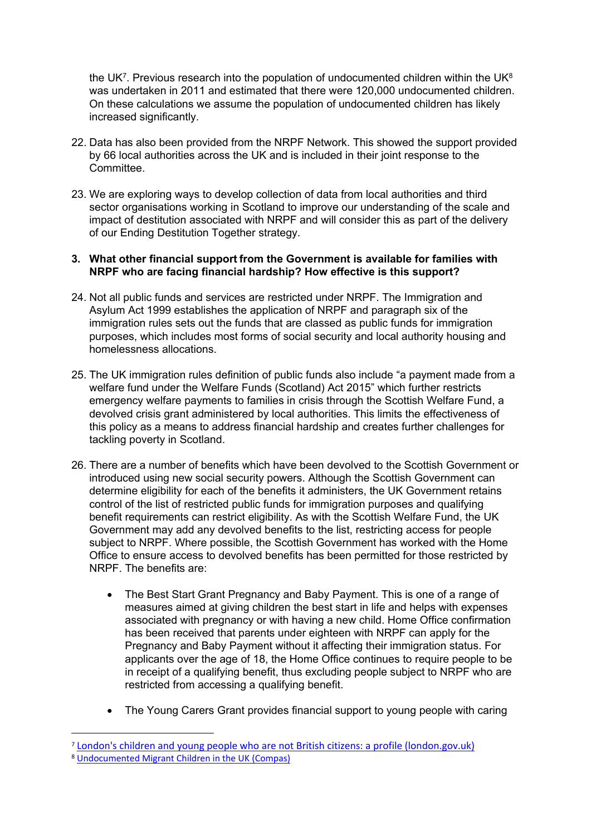the UK<sup>7</sup>. Previous research into the population of undocumented children within the UK<sup>8</sup> was undertaken in 2011 and estimated that there were 120,000 undocumented children. On these calculations we assume the population of undocumented children has likely increased significantly.

- 22. Data has also been provided from the NRPF Network. This showed the support provided by 66 local authorities across the UK and is included in their joint response to the Committee.
- 23. We are exploring ways to develop collection of data from local authorities and third sector organisations working in Scotland to improve our understanding of the scale and impact of destitution associated with NRPF and will consider this as part of the delivery of our Ending Destitution Together strategy.

#### **3. What other financial support from the Government is available for families with NRPF who are facing financial hardship? How effective is this support?**

- 24. Not all public funds and services are restricted under NRPF. The Immigration and Asylum Act 1999 establishes the application of NRPF and paragraph six of the immigration rules sets out the funds that are classed as public funds for immigration purposes, which includes most forms of social security and local authority housing and homelessness allocations.
- 25. The UK immigration rules definition of public funds also include "a payment made from a welfare fund under the Welfare Funds (Scotland) Act 2015" which further restricts emergency welfare payments to families in crisis through the Scottish Welfare Fund, a devolved crisis grant administered by local authorities. This limits the effectiveness of this policy as a means to address financial hardship and creates further challenges for tackling poverty in Scotland.
- 26. There are a number of benefits which have been devolved to the Scottish Government or introduced using new social security powers. Although the Scottish Government can determine eligibility for each of the benefits it administers, the UK Government retains control of the list of restricted public funds for immigration purposes and qualifying benefit requirements can restrict eligibility. As with the Scottish Welfare Fund, the UK Government may add any devolved benefits to the list, restricting access for people subject to NRPF. Where possible, the Scottish Government has worked with the Home Office to ensure access to devolved benefits has been permitted for those restricted by NRPF. The benefits are:
	- The Best Start Grant Pregnancy and Baby Payment. This is one of a range of measures aimed at giving children the best start in life and helps with expenses associated with pregnancy or with having a new child. Home Office confirmation has been received that parents under eighteen with NRPF can apply for the Pregnancy and Baby Payment without it affecting their immigration status. For applicants over the age of 18, the Home Office continues to require people to be in receipt of a qualifying benefit, thus excluding people subject to NRPF who are restricted from accessing a qualifying benefit.
	- The Young Carers Grant provides financial support to young people with caring

<sup>7</sup> [London's](https://www.london.gov.uk/sites/default/files/final_londons_children_and_young_people_who_are_not_british_citizens.pdf) [children](https://www.london.gov.uk/sites/default/files/final_londons_children_and_young_people_who_are_not_british_citizens.pdf) [and](https://www.london.gov.uk/sites/default/files/final_londons_children_and_young_people_who_are_not_british_citizens.pdf) [young](https://www.london.gov.uk/sites/default/files/final_londons_children_and_young_people_who_are_not_british_citizens.pdf) [people](https://www.london.gov.uk/sites/default/files/final_londons_children_and_young_people_who_are_not_british_citizens.pdf) [who](https://www.london.gov.uk/sites/default/files/final_londons_children_and_young_people_who_are_not_british_citizens.pdf) [are](https://www.london.gov.uk/sites/default/files/final_londons_children_and_young_people_who_are_not_british_citizens.pdf) [not](https://www.london.gov.uk/sites/default/files/final_londons_children_and_young_people_who_are_not_british_citizens.pdf) [British](https://www.london.gov.uk/sites/default/files/final_londons_children_and_young_people_who_are_not_british_citizens.pdf) [citizens:](https://www.london.gov.uk/sites/default/files/final_londons_children_and_young_people_who_are_not_british_citizens.pdf) [a](https://www.london.gov.uk/sites/default/files/final_londons_children_and_young_people_who_are_not_british_citizens.pdf) [profile](https://www.london.gov.uk/sites/default/files/final_londons_children_and_young_people_who_are_not_british_citizens.pdf) [\(london.gov.uk\)](https://www.london.gov.uk/sites/default/files/final_londons_children_and_young_people_who_are_not_british_citizens.pdf)

<sup>8</sup> [Undocumented](https://www.compas.ox.ac.uk/project/undocumented-migrant-children-in-the-uk/) [Migrant](https://www.compas.ox.ac.uk/project/undocumented-migrant-children-in-the-uk/) [Children](https://www.compas.ox.ac.uk/project/undocumented-migrant-children-in-the-uk/) [in](https://www.compas.ox.ac.uk/project/undocumented-migrant-children-in-the-uk/) [the](https://www.compas.ox.ac.uk/project/undocumented-migrant-children-in-the-uk/) [UK](https://www.compas.ox.ac.uk/project/undocumented-migrant-children-in-the-uk/) [\(Compas\)](https://www.compas.ox.ac.uk/project/undocumented-migrant-children-in-the-uk/)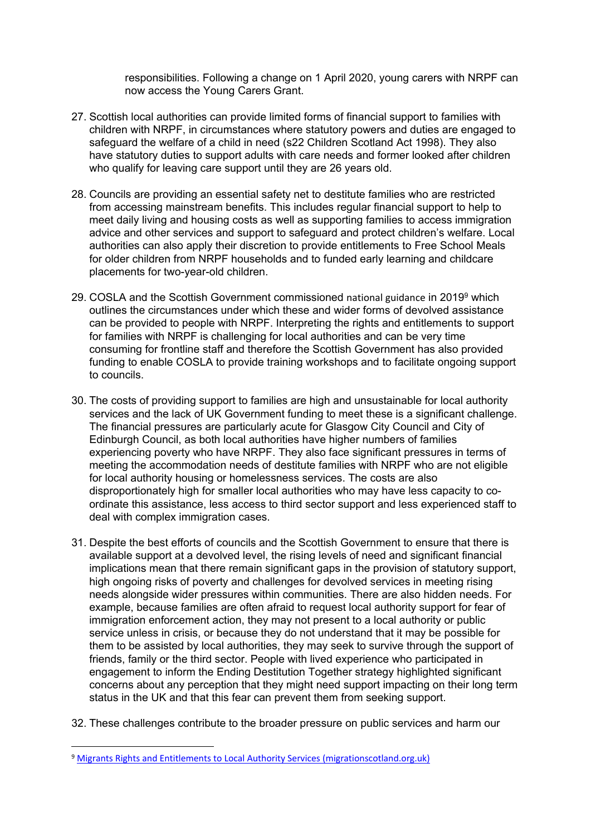responsibilities. Following a change on 1 April 2020, young carers with NRPF can now access the Young Carers Grant.

- 27. Scottish local authorities can provide limited forms of financial support to families with children with NRPF, in circumstances where statutory powers and duties are engaged to safeguard the welfare of a child in need (s22 Children Scotland Act 1998). They also have statutory duties to support adults with care needs and former looked after children who qualify for leaving care support until they are 26 years old.
- 28. Councils are providing an essential safety net to destitute families who are restricted from accessing mainstream benefits. This includes regular financial support to help to meet daily living and housing costs as well as supporting families to access immigration advice and other services and support to safeguard and protect children's welfare. Local authorities can also apply their discretion to provide entitlements to Free School Meals for older children from NRPF households and to funded early learning and childcare placements for two-year-old children.
- 29. COSLA and the Scottish Government commissioned national guidance in 2019<sup>9</sup> which outlines the circumstances under which these and wider forms of devolved assistance can be provided to people with NRPF. Interpreting the rights and entitlements to support for families with NRPF is challenging for local authorities and can be very time consuming for frontline staff and therefore the Scottish Government has also provided funding to enable COSLA to provide training workshops and to facilitate ongoing support to councils.
- 30. The costs of providing support to families are high and unsustainable for local authority services and the lack of UK Government funding to meet these is a significant challenge. The financial pressures are particularly acute for Glasgow City Council and City of Edinburgh Council, as both local authorities have higher numbers of families experiencing poverty who have NRPF. They also face significant pressures in terms of meeting the accommodation needs of destitute families with NRPF who are not eligible for local authority housing or homelessness services. The costs are also disproportionately high for smaller local authorities who may have less capacity to coordinate this assistance, less access to third sector support and less experienced staff to deal with complex immigration cases.
- 31. Despite the best efforts of councils and the Scottish Government to ensure that there is available support at a devolved level, the rising levels of need and significant financial implications mean that there remain significant gaps in the provision of statutory support, high ongoing risks of poverty and challenges for devolved services in meeting rising needs alongside wider pressures within communities. There are also hidden needs. For example, because families are often afraid to request local authority support for fear of immigration enforcement action, they may not present to a local authority or public service unless in crisis, or because they do not understand that it may be possible for them to be assisted by local authorities, they may seek to survive through the support of friends, family or the third sector. People with lived experience who participated in engagement to inform the Ending Destitution Together strategy highlighted significant concerns about any perception that they might need support impacting on their long term status in the UK and that this fear can prevent them from seeking support.
- 32. These challenges contribute to the broader pressure on public services and harm our

<sup>9</sup> [Migrants](http://www.migrationscotland.org.uk/migrants-rights-and-entitlements-0) [Rights](http://www.migrationscotland.org.uk/migrants-rights-and-entitlements-0) [and](http://www.migrationscotland.org.uk/migrants-rights-and-entitlements-0) [Entitlements](http://www.migrationscotland.org.uk/migrants-rights-and-entitlements-0) [to](http://www.migrationscotland.org.uk/migrants-rights-and-entitlements-0) [Local](http://www.migrationscotland.org.uk/migrants-rights-and-entitlements-0) [Authority](http://www.migrationscotland.org.uk/migrants-rights-and-entitlements-0) [Services](http://www.migrationscotland.org.uk/migrants-rights-and-entitlements-0) [\(migrationscotland.org.uk\)](http://www.migrationscotland.org.uk/migrants-rights-and-entitlements-0)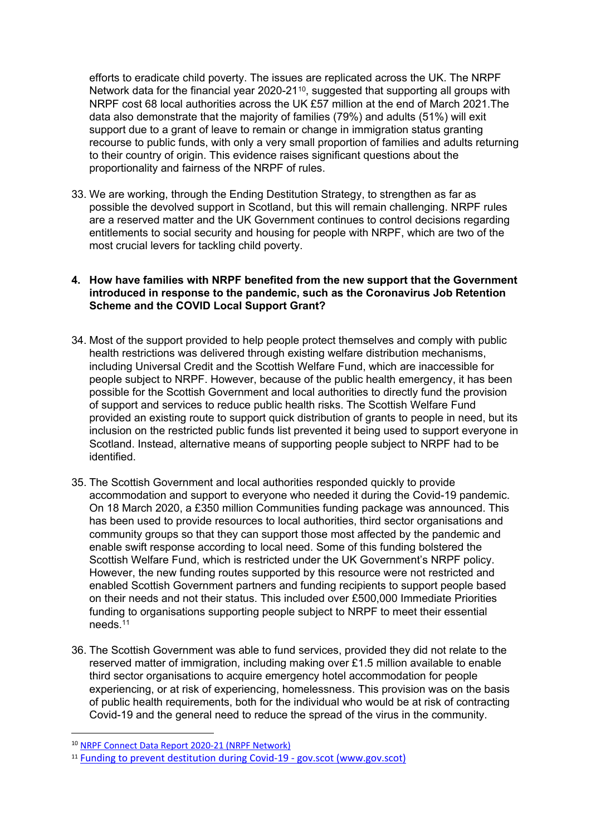efforts to eradicate child poverty. The issues are replicated across the UK. The NRPF Network data for the financial year 2020-21<sup>10</sup>, suggested that supporting all groups with NRPF cost 68 local authorities across the UK £57 million at the end of March 2021.The data also demonstrate that the majority of families (79%) and adults (51%) will exit support due to a grant of leave to remain or change in immigration status granting recourse to public funds, with only a very small proportion of families and adults returning to their country of origin. This evidence raises significant questions about the proportionality and fairness of the NRPF of rules.

33. We are working, through the Ending Destitution Strategy, to strengthen as far as possible the devolved support in Scotland, but this will remain challenging. NRPF rules are a reserved matter and the UK Government continues to control decisions regarding entitlements to social security and housing for people with NRPF, which are two of the most crucial levers for tackling child poverty.

# **4. How have families with NRPF benefited from the new support that the Government introduced in response to the pandemic, such as the Coronavirus Job Retention Scheme and the COVID Local Support Grant?**

- 34. Most of the support provided to help people protect themselves and comply with public health restrictions was delivered through existing welfare distribution mechanisms, including Universal Credit and the Scottish Welfare Fund, which are inaccessible for people subject to NRPF. However, because of the public health emergency, it has been possible for the Scottish Government and local authorities to directly fund the provision of support and services to reduce public health risks. The Scottish Welfare Fund provided an existing route to support quick distribution of grants to people in need, but its inclusion on the restricted public funds list prevented it being used to support everyone in Scotland. Instead, alternative means of supporting people subject to NRPF had to be identified.
- 35. The Scottish Government and local authorities responded quickly to provide accommodation and support to everyone who needed it during the Covid-19 pandemic. On 18 March 2020, a £350 million Communities funding package was announced. This has been used to provide resources to local authorities, third sector organisations and community groups so that they can support those most affected by the pandemic and enable swift response according to local need. Some of this funding bolstered the Scottish Welfare Fund, which is restricted under the UK Government's NRPF policy. However, the new funding routes supported by this resource were not restricted and enabled Scottish Government partners and funding recipients to support people based on their needs and not their status. This included over £500,000 Immediate Priorities funding to organisations supporting people subject to NRPF to meet their essential needs.<sup>11</sup>
- 36. The Scottish Government was able to fund services, provided they did not relate to the reserved matter of immigration, including making over £1.5 million available to enable third sector organisations to acquire emergency hotel accommodation for people experiencing, or at risk of experiencing, homelessness. This provision was on the basis of public health requirements, both for the individual who would be at risk of contracting Covid-19 and the general need to reduce the spread of the virus in the community.

<sup>10</sup> [NRPF](https://www.nrpfnetwork.org.uk/nrpf-connect/nrpf-connect-data) [Connect](https://www.nrpfnetwork.org.uk/nrpf-connect/nrpf-connect-data) [Data](https://www.nrpfnetwork.org.uk/nrpf-connect/nrpf-connect-data) [Report](https://www.nrpfnetwork.org.uk/nrpf-connect/nrpf-connect-data) [2020-21](https://www.nrpfnetwork.org.uk/nrpf-connect/nrpf-connect-data) [\(NRPF](https://www.nrpfnetwork.org.uk/nrpf-connect/nrpf-connect-data) [Network\)](https://www.nrpfnetwork.org.uk/nrpf-connect/nrpf-connect-data)

<sup>11</sup> [Funding](https://www.gov.scot/news/funding-to-prevent-destitution-during-covid-19/) [to](https://www.gov.scot/news/funding-to-prevent-destitution-during-covid-19/) [prevent](https://www.gov.scot/news/funding-to-prevent-destitution-during-covid-19/) [destitution](https://www.gov.scot/news/funding-to-prevent-destitution-during-covid-19/) [during](https://www.gov.scot/news/funding-to-prevent-destitution-during-covid-19/) [Covid-19](https://www.gov.scot/news/funding-to-prevent-destitution-during-covid-19/) [-](https://www.gov.scot/news/funding-to-prevent-destitution-during-covid-19/) [gov.scot](https://www.gov.scot/news/funding-to-prevent-destitution-during-covid-19/) [\(www.gov.scot\)](https://www.gov.scot/news/funding-to-prevent-destitution-during-covid-19/)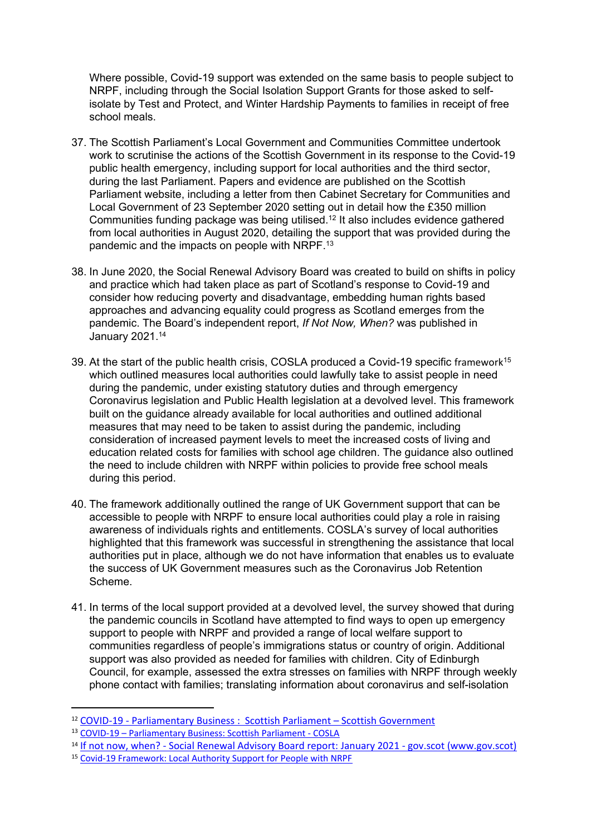Where possible, Covid-19 support was extended on the same basis to people subject to NRPF, including through the Social Isolation Support Grants for those asked to selfisolate by Test and Protect, and Winter Hardship Payments to families in receipt of free school meals.

- 37. The Scottish Parliament's Local Government and Communities Committee undertook work to scrutinise the actions of the Scottish Government in its response to the Covid-19 public health emergency, including support for local authorities and the third sector, during the last Parliament. Papers and evidence are published on the Scottish Parliament website, including a letter from then Cabinet Secretary for Communities and Local Government of 23 September 2020 setting out in detail how the £350 million Communities funding package was being utilised.<sup>12</sup> It also includes evidence gathered from local authorities in August 2020, detailing the support that was provided during the pandemic and the impacts on people with NRPF.<sup>13</sup>
- 38. In June 2020, the Social Renewal Advisory Board was created to build on shifts in policy and practice which had taken place as part of Scotland's response to Covid-19 and consider how reducing poverty and disadvantage, embedding human rights based approaches and advancing equality could progress as Scotland emerges from the pandemic. The Board's independent report, *If Not Now, When?* was published in January 2021.<sup>14</sup>
- 39. At the start of the public health crisis, COSLA produced a Covid-19 specific framework<sup>15</sup> which outlined measures local authorities could lawfully take to assist people in need during the pandemic, under existing statutory duties and through emergency Coronavirus legislation and Public Health legislation at a devolved level. This framework built on the guidance already available for local authorities and outlined additional measures that may need to be taken to assist during the pandemic, including consideration of increased payment levels to meet the increased costs of living and education related costs for families with school age children. The guidance also outlined the need to include children with NRPF within policies to provide free school meals during this period.
- 40. The framework additionally outlined the range of UK Government support that can be accessible to people with NRPF to ensure local authorities could play a role in raising awareness of individuals rights and entitlements. COSLA's survey of local authorities highlighted that this framework was successful in strengthening the assistance that local authorities put in place, although we do not have information that enables us to evaluate the success of UK Government measures such as the Coronavirus Job Retention Scheme.
- 41. In terms of the local support provided at a devolved level, the survey showed that during the pandemic councils in Scotland have attempted to find ways to open up emergency support to people with NRPF and provided a range of local welfare support to communities regardless of people's immigrations status or country of origin. Additional support was also provided as needed for families with children. City of Edinburgh Council, for example, assessed the extra stresses on families with NRPF through weekly phone contact with families; translating information about coronavirus and self-isolation

<sup>14</sup> [If](https://www.gov.scot/publications/not-now-social-renewal-advisory-board-report-january-2021/) [not](https://www.gov.scot/publications/not-now-social-renewal-advisory-board-report-january-2021/) [now,](https://www.gov.scot/publications/not-now-social-renewal-advisory-board-report-january-2021/) [when?](https://www.gov.scot/publications/not-now-social-renewal-advisory-board-report-january-2021/) [-](https://www.gov.scot/publications/not-now-social-renewal-advisory-board-report-january-2021/) [Social](https://www.gov.scot/publications/not-now-social-renewal-advisory-board-report-january-2021/) [Renewal](https://www.gov.scot/publications/not-now-social-renewal-advisory-board-report-january-2021/) [Advisory](https://www.gov.scot/publications/not-now-social-renewal-advisory-board-report-january-2021/) [Board](https://www.gov.scot/publications/not-now-social-renewal-advisory-board-report-january-2021/) [report:](https://www.gov.scot/publications/not-now-social-renewal-advisory-board-report-january-2021/) [January](https://www.gov.scot/publications/not-now-social-renewal-advisory-board-report-january-2021/) [2021](https://www.gov.scot/publications/not-now-social-renewal-advisory-board-report-january-2021/) [-](https://www.gov.scot/publications/not-now-social-renewal-advisory-board-report-january-2021/) [gov.scot](https://www.gov.scot/publications/not-now-social-renewal-advisory-board-report-january-2021/) [\(www.gov.scot\)](https://www.gov.scot/publications/not-now-social-renewal-advisory-board-report-january-2021/)

<sup>12</sup> [COVID-19](https://archive2021.parliament.scot/parliamentarybusiness/currentcommittees/115128.aspx) [-](https://archive2021.parliament.scot/parliamentarybusiness/currentcommittees/115128.aspx) [Parliamentary](https://archive2021.parliament.scot/parliamentarybusiness/currentcommittees/115128.aspx) [Business](https://archive2021.parliament.scot/parliamentarybusiness/currentcommittees/115128.aspx) [:](https://archive2021.parliament.scot/parliamentarybusiness/currentcommittees/115128.aspx) [Scottish](https://archive2021.parliament.scot/parliamentarybusiness/currentcommittees/115128.aspx) [Parliament](https://archive2021.parliament.scot/parliamentarybusiness/currentcommittees/115128.aspx) – Scottish Government

<sup>13</sup> [COVID-19](https://archive2021.parliament.scot/S5_Local_Gov/General%20Documents/COSLA.pdf) [–](https://archive2021.parliament.scot/S5_Local_Gov/General%20Documents/COSLA.pdf) [Parliamentary](https://archive2021.parliament.scot/S5_Local_Gov/General%20Documents/COSLA.pdf) [Business:](https://archive2021.parliament.scot/S5_Local_Gov/General%20Documents/COSLA.pdf) [Scottish](https://archive2021.parliament.scot/S5_Local_Gov/General%20Documents/COSLA.pdf) [Parliament](https://archive2021.parliament.scot/S5_Local_Gov/General%20Documents/COSLA.pdf) [-](https://archive2021.parliament.scot/S5_Local_Gov/General%20Documents/COSLA.pdf) [COSLA](https://archive2021.parliament.scot/S5_Local_Gov/General%20Documents/COSLA.pdf)

<sup>15</sup> [Covid-19](http://www.migrationscotland.org.uk/uploads/Guidance%20Covid%2019%20Supporting%20People%20with%20NRPF%20200420_0.pdf) [Framework:](http://www.migrationscotland.org.uk/uploads/Guidance%20Covid%2019%20Supporting%20People%20with%20NRPF%20200420_0.pdf) [Local](http://www.migrationscotland.org.uk/uploads/Guidance%20Covid%2019%20Supporting%20People%20with%20NRPF%20200420_0.pdf) [Authority](http://www.migrationscotland.org.uk/uploads/Guidance%20Covid%2019%20Supporting%20People%20with%20NRPF%20200420_0.pdf) [Support](http://www.migrationscotland.org.uk/uploads/Guidance%20Covid%2019%20Supporting%20People%20with%20NRPF%20200420_0.pdf) [for](http://www.migrationscotland.org.uk/uploads/Guidance%20Covid%2019%20Supporting%20People%20with%20NRPF%20200420_0.pdf) [People](http://www.migrationscotland.org.uk/uploads/Guidance%20Covid%2019%20Supporting%20People%20with%20NRPF%20200420_0.pdf) [with](http://www.migrationscotland.org.uk/uploads/Guidance%20Covid%2019%20Supporting%20People%20with%20NRPF%20200420_0.pdf) [NRPF](http://www.migrationscotland.org.uk/uploads/Guidance%20Covid%2019%20Supporting%20People%20with%20NRPF%20200420_0.pdf)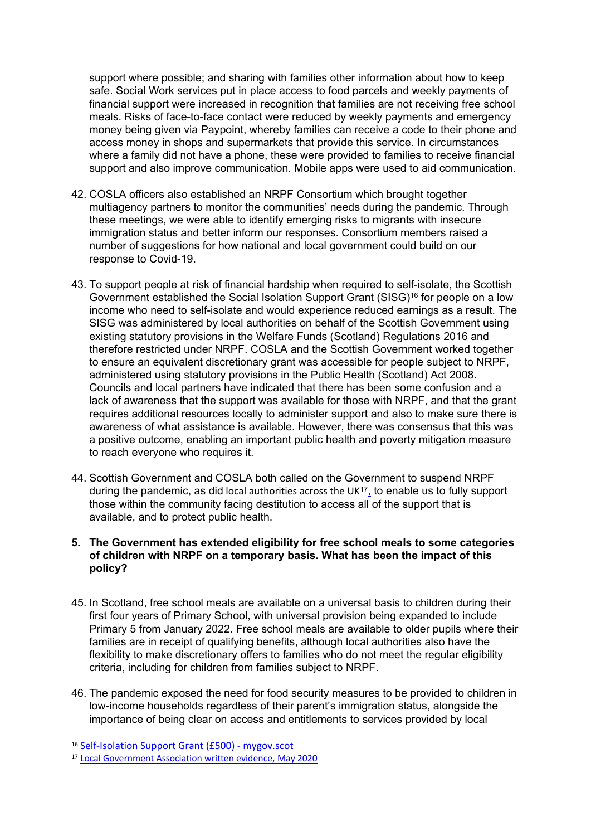support where possible; and sharing with families other information about how to keep safe. Social Work services put in place access to food parcels and weekly payments of financial support were increased in recognition that families are not receiving free school meals. Risks of face-to-face contact were reduced by weekly payments and emergency money being given via Paypoint, whereby families can receive a code to their phone and access money in shops and supermarkets that provide this service. In circumstances where a family did not have a phone, these were provided to families to receive financial support and also improve communication. Mobile apps were used to aid communication.

- 42. COSLA officers also established an NRPF Consortium which brought together multiagency partners to monitor the communities' needs during the pandemic. Through these meetings, we were able to identify emerging risks to migrants with insecure immigration status and better inform our responses. Consortium members raised a number of suggestions for how national and local government could build on our response to Covid-19.
- 43. To support people at risk of financial hardship when required to self-isolate, the Scottish Government established the Social Isolation Support Grant (SISG)<sup>16</sup> for people on a low income who need to self-isolate and would experience reduced earnings as a result. The SISG was administered by local authorities on behalf of the Scottish Government using existing statutory provisions in the Welfare Funds (Scotland) Regulations 2016 and therefore restricted under NRPF. COSLA and the Scottish Government worked together to ensure an equivalent discretionary grant was accessible for people subject to NRPF, administered using statutory provisions in the Public Health (Scotland) Act 2008. Councils and local partners have indicated that there has been some confusion and a lack of awareness that the support was available for those with NRPF, and that the grant requires additional resources locally to administer support and also to make sure there is awareness of what assistance is available. However, there was consensus that this was a positive outcome, enabling an important public health and poverty mitigation measure to reach everyone who requires it.
- 44. Scottish Government and COSLA both called on the Government to suspend NRPF during the pandemic, as did local authorities across the UK $17<sub>1</sub>$  to enable us to fully support those within the community facing destitution to access all of the support that is available, and to protect public health.

# **5. The Government has extended eligibility for free school meals to some categories of children with NRPF on a temporary basis. What has been the impact of this policy?**

- 45. In Scotland, free school meals are available on a universal basis to children during their first four years of Primary School, with universal provision being expanded to include Primary 5 from January 2022. Free school meals are available to older pupils where their families are in receipt of qualifying benefits, although local authorities also have the flexibility to make discretionary offers to families who do not meet the regular eligibility criteria, including for children from families subject to NRPF.
- 46. The pandemic exposed the need for food security measures to be provided to children in low-income households regardless of their parent's immigration status, alongside the importance of being clear on access and entitlements to services provided by local

<sup>16</sup> [Self-Isolation](https://www.mygov.scot/self-isolation-grant) [Support](https://www.mygov.scot/self-isolation-grant) [Grant](https://www.mygov.scot/self-isolation-grant) [\(£500\)](https://www.mygov.scot/self-isolation-grant) [-](https://www.mygov.scot/self-isolation-grant) [mygov.scot](https://www.mygov.scot/self-isolation-grant)

<sup>17</sup> [Local](file:///C:/Users/eloise/AppData/Local/Microsoft/Windows/INetCache/Content.Outlook/1PT5XF99/Local%20Government%20Association%20written%20evidence,%20May%202020) [Government](file:///C:/Users/eloise/AppData/Local/Microsoft/Windows/INetCache/Content.Outlook/1PT5XF99/Local%20Government%20Association%20written%20evidence,%20May%202020) [Association](file:///C:/Users/eloise/AppData/Local/Microsoft/Windows/INetCache/Content.Outlook/1PT5XF99/Local%20Government%20Association%20written%20evidence,%20May%202020) [written](file:///C:/Users/eloise/AppData/Local/Microsoft/Windows/INetCache/Content.Outlook/1PT5XF99/Local%20Government%20Association%20written%20evidence,%20May%202020) [evidence,](file:///C:/Users/eloise/AppData/Local/Microsoft/Windows/INetCache/Content.Outlook/1PT5XF99/Local%20Government%20Association%20written%20evidence,%20May%202020) [May](file:///C:/Users/eloise/AppData/Local/Microsoft/Windows/INetCache/Content.Outlook/1PT5XF99/Local%20Government%20Association%20written%20evidence,%20May%202020) [2020](file:///C:/Users/eloise/AppData/Local/Microsoft/Windows/INetCache/Content.Outlook/1PT5XF99/Local%20Government%20Association%20written%20evidence,%20May%202020)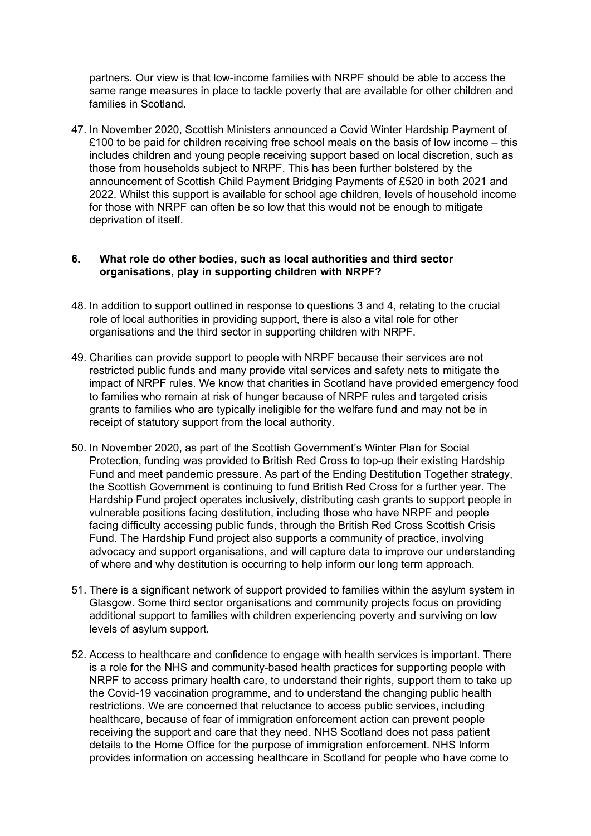partners. Our view is that low-income families with NRPF should be able to access the same range measures in place to tackle poverty that are available for other children and families in Scotland.

47. In November 2020, Scottish Ministers announced a Covid Winter Hardship Payment of £100 to be paid for children receiving free school meals on the basis of low income  $-$  this includes children and young people receiving support based on local discretion, such as those from households subject to NRPF. This has been further bolstered by the announcement of Scottish Child Payment Bridging Payments of £520 in both 2021 and 2022. Whilst this support is available for school age children, levels of household income for those with NRPF can often be so low that this would not be enough to mitigate deprivation of itself.

#### **6. What role do other bodies, such as local authorities and third sector organisations, play in supporting children with NRPF?**

- 48. In addition to support outlined in response to questions 3 and 4, relating to the crucial role of local authorities in providing support, there is also a vital role for other organisations and the third sector in supporting children with NRPF.
- 49. Charities can provide support to people with NRPF because their services are not restricted public funds and many provide vital services and safety nets to mitigate the impact of NRPF rules. We know that charities in Scotland have provided emergency food to families who remain at risk of hunger because of NRPF rules and targeted crisis grants to families who are typically ineligible for the welfare fund and may not be in receipt of statutory support from the local authority.
- 50. In November 2020, as part of the Scottish Government's Winter Plan for Social Protection, funding was provided to British Red Cross to top-up their existing Hardship Fund and meet pandemic pressure. As part of the Ending Destitution Together strategy, the Scottish Government is continuing to fund British Red Cross for a further year. The Hardship Fund project operates inclusively, distributing cash grants to support people in vulnerable positions facing destitution, including those who have NRPF and people facing difficulty accessing public funds, through the British Red Cross Scottish Crisis Fund. The Hardship Fund project also supports a community of practice, involving advocacy and support organisations, and will capture data to improve our understanding of where and why destitution is occurring to help inform our long term approach.
- 51. There is a significant network of support provided to families within the asylum system in Glasgow. Some third sector organisations and community projects focus on providing additional support to families with children experiencing poverty and surviving on low levels of asylum support.
- 52. Access to healthcare and confidence to engage with health services is important. There is a role for the NHS and community-based health practices for supporting people with NRPF to access primary health care, to understand their rights, support them to take up the Covid-19 vaccination programme, and to understand the changing public health restrictions. We are concerned that reluctance to access public services, including healthcare, because of fear of immigration enforcement action can prevent people receiving the support and care that they need. NHS Scotland does not pass patient details to the Home Office for the purpose of immigration enforcement. NHS Inform provides information on accessing healthcare in Scotland for people who have come to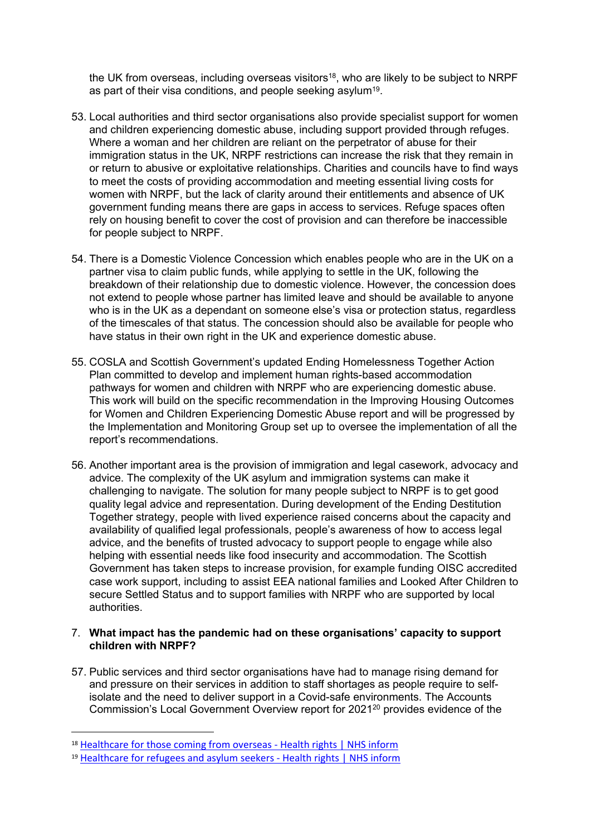the UK from overseas, including overseas visitors<sup>18</sup>, who are likely to be subject to NRPF as part of their visa conditions, and people seeking asylum<sup>19</sup>.

- 53. Local authorities and third sector organisations also provide specialist support for women and children experiencing domestic abuse, including support provided through refuges. Where a woman and her children are reliant on the perpetrator of abuse for their immigration status in the UK, NRPF restrictions can increase the risk that they remain in or return to abusive or exploitative relationships. Charities and councils have to find ways to meet the costs of providing accommodation and meeting essential living costs for women with NRPF, but the lack of clarity around their entitlements and absence of UK government funding means there are gaps in access to services. Refuge spaces often rely on housing benefit to cover the cost of provision and can therefore be inaccessible for people subject to NRPF.
- 54. There is a Domestic Violence Concession which enables people who are in the UK on a partner visa to claim public funds, while applying to settle in the UK, following the breakdown of their relationship due to domestic violence. However, the concession does not extend to people whose partner has limited leave and should be available to anyone who is in the UK as a dependant on someone else's visa or protection status, regardless of the timescales of that status. The concession should also be available for people who have status in their own right in the UK and experience domestic abuse.
- 55. COSLA and Scottish Government's updated Ending Homelessness Together Action Plan committed to develop and implement human rights-based accommodation pathways for women and children with NRPF who are experiencing domestic abuse. This work will build on the specific recommendation in the Improving Housing Outcomes for Women and Children Experiencing Domestic Abuse report and will be progressed by the Implementation and Monitoring Group set up to oversee the implementation of all the report's recommendations.
- 56. Another important area is the provision of immigration and legal casework, advocacy and advice. The complexity of the UK asylum and immigration systems can make it challenging to navigate. The solution for many people subject to NRPF is to get good quality legal advice and representation. During development of the Ending Destitution Together strategy, people with lived experience raised concerns about the capacity and availability of qualified legal professionals, people's awareness of how to access legal advice, and the benefits of trusted advocacy to support people to engage while also helping with essential needs like food insecurity and accommodation. The Scottish Government has taken steps to increase provision, for example funding OISC accredited case work support, including to assist EEA national families and Looked After Children to secure Settled Status and to support families with NRPF who are supported by local authorities.

#### 7. **What impact has the pandemic had on these organisations' capacity to support children with NRPF?**

57. Public services and third sector organisations have had to manage rising demand for and pressure on their services in addition to staff shortages as people require to selfisolate and the need to deliver support in a Covid-safe environments. The Accounts Commission's Local Government Overview report for 2021<sup>20</sup> provides evidence of the

<sup>&</sup>lt;sup>18</sup> [Healthcare](https://www.nhsinform.scot/care-support-and-rights/health-rights/access/healthcare-for-overseas-visitors#registering-for-healthcare) [for](https://www.nhsinform.scot/care-support-and-rights/health-rights/access/healthcare-for-overseas-visitors#registering-for-healthcare) [those](https://www.nhsinform.scot/care-support-and-rights/health-rights/access/healthcare-for-overseas-visitors#registering-for-healthcare) [coming](https://www.nhsinform.scot/care-support-and-rights/health-rights/access/healthcare-for-overseas-visitors#registering-for-healthcare) [from](https://www.nhsinform.scot/care-support-and-rights/health-rights/access/healthcare-for-overseas-visitors#registering-for-healthcare) [overseas](https://www.nhsinform.scot/care-support-and-rights/health-rights/access/healthcare-for-overseas-visitors#registering-for-healthcare) [-](https://www.nhsinform.scot/care-support-and-rights/health-rights/access/healthcare-for-overseas-visitors#registering-for-healthcare) [Health](https://www.nhsinform.scot/care-support-and-rights/health-rights/access/healthcare-for-overseas-visitors#registering-for-healthcare) [rights](https://www.nhsinform.scot/care-support-and-rights/health-rights/access/healthcare-for-overseas-visitors#registering-for-healthcare) [|](https://www.nhsinform.scot/care-support-and-rights/health-rights/access/healthcare-for-overseas-visitors#registering-for-healthcare) [NHS](https://www.nhsinform.scot/care-support-and-rights/health-rights/access/healthcare-for-overseas-visitors#registering-for-healthcare) [inform](https://www.nhsinform.scot/care-support-and-rights/health-rights/access/healthcare-for-overseas-visitors#registering-for-healthcare)

<sup>19</sup> [Healthcare](https://www.nhsinform.scot/care-support-and-rights/health-rights/access/healthcare-for-refugees-and-asylum-seekers) [for](https://www.nhsinform.scot/care-support-and-rights/health-rights/access/healthcare-for-refugees-and-asylum-seekers) [refugees](https://www.nhsinform.scot/care-support-and-rights/health-rights/access/healthcare-for-refugees-and-asylum-seekers) [and](https://www.nhsinform.scot/care-support-and-rights/health-rights/access/healthcare-for-refugees-and-asylum-seekers) [asylum](https://www.nhsinform.scot/care-support-and-rights/health-rights/access/healthcare-for-refugees-and-asylum-seekers) [seekers](https://www.nhsinform.scot/care-support-and-rights/health-rights/access/healthcare-for-refugees-and-asylum-seekers) [-](https://www.nhsinform.scot/care-support-and-rights/health-rights/access/healthcare-for-refugees-and-asylum-seekers) [Health](https://www.nhsinform.scot/care-support-and-rights/health-rights/access/healthcare-for-refugees-and-asylum-seekers) [rights](https://www.nhsinform.scot/care-support-and-rights/health-rights/access/healthcare-for-refugees-and-asylum-seekers) [|](https://www.nhsinform.scot/care-support-and-rights/health-rights/access/healthcare-for-refugees-and-asylum-seekers) [NHS](https://www.nhsinform.scot/care-support-and-rights/health-rights/access/healthcare-for-refugees-and-asylum-seekers) [inform](https://www.nhsinform.scot/care-support-and-rights/health-rights/access/healthcare-for-refugees-and-asylum-seekers)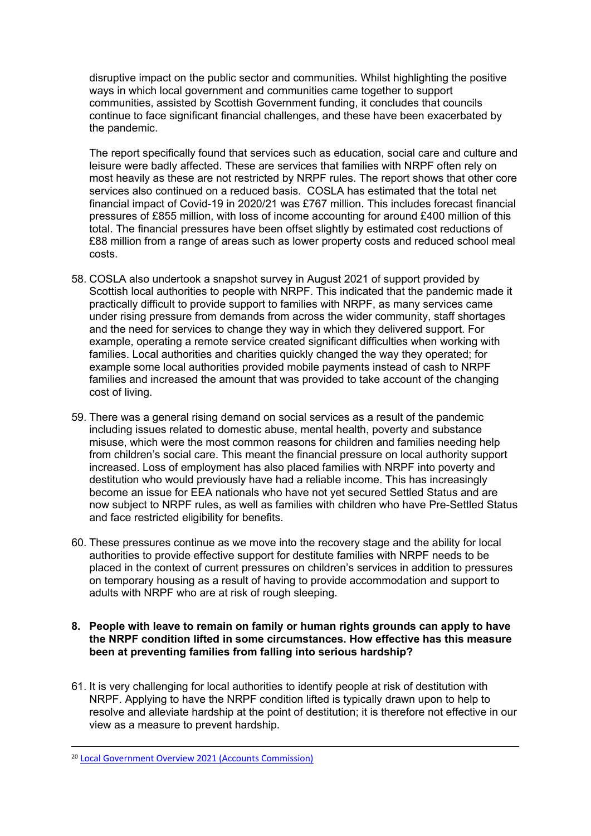disruptive impact on the public sector and communities. Whilst highlighting the positive ways in which local government and communities came together to support communities, assisted by Scottish Government funding, it concludes that councils continue to face significant financial challenges, and these have been exacerbated by the pandemic.

The report specifically found that services such as education, social care and culture and leisure were badly affected. These are services that families with NRPF often rely on most heavily as these are not restricted by NRPF rules. The report shows that other core services also continued on a reduced basis. COSLA has estimated that the total net financial impact of Covid-19 in 2020/21 was £767 million. This includes forecast financial pressures of £855 million, with loss of income accounting for around £400 million of this total. The financial pressures have been offset slightly by estimated cost reductions of £88 million from a range of areas such as lower property costs and reduced school meal costs.

- 58. COSLA also undertook a snapshot survey in August 2021 of support provided by Scottish local authorities to people with NRPF. This indicated that the pandemic made it practically difficult to provide support to families with NRPF, as many services came under rising pressure from demands from across the wider community, staff shortages and the need for services to change they way in which they delivered support. For example, operating a remote service created significant difficulties when working with families. Local authorities and charities quickly changed the way they operated; for example some local authorities provided mobile payments instead of cash to NRPF families and increased the amount that was provided to take account of the changing cost of living.
- 59. There was a general rising demand on social services as a result of the pandemic including issues related to domestic abuse, mental health, poverty and substance misuse, which were the most common reasons for children and families needing help from children's social care. This meant the financial pressure on local authority support increased. Loss of employment has also placed families with NRPF into poverty and destitution who would previously have had a reliable income. This has increasingly become an issue for EEA nationals who have not yet secured Settled Status and are now subject to NRPF rules, as well as families with children who have Pre-Settled Status and face restricted eligibility for benefits.
- 60. These pressures continue as we move into the recovery stage and the ability for local authorities to provide effective support for destitute families with NRPF needs to be placed in the context of current pressures on children's services in addition to pressures on temporary housing as a result of having to provide accommodation and support to adults with NRPF who are at risk of rough sleeping.

## **8. People with leave to remain on family or human rights grounds can apply to have the NRPF condition lifted in some circumstances. How effective has this measure been at preventing families from falling into serious hardship?**

61. It is very challenging for local authorities to identify people at risk of destitution with NRPF. Applying to have the NRPF condition lifted is typically drawn upon to help to resolve and alleviate hardship at the point of destitution; it is therefore not effective in our view as a measure to prevent hardship.

<sup>20</sup> [Local](https://www.audit-scotland.gov.uk/uploads/docs/report/2021/nr_210527_local_government_overview.pdf) [Government](https://www.audit-scotland.gov.uk/uploads/docs/report/2021/nr_210527_local_government_overview.pdf) [Overview](https://www.audit-scotland.gov.uk/uploads/docs/report/2021/nr_210527_local_government_overview.pdf) [2021](https://www.audit-scotland.gov.uk/uploads/docs/report/2021/nr_210527_local_government_overview.pdf) [\(Accounts](https://www.audit-scotland.gov.uk/uploads/docs/report/2021/nr_210527_local_government_overview.pdf) [Commission\)](https://www.audit-scotland.gov.uk/uploads/docs/report/2021/nr_210527_local_government_overview.pdf)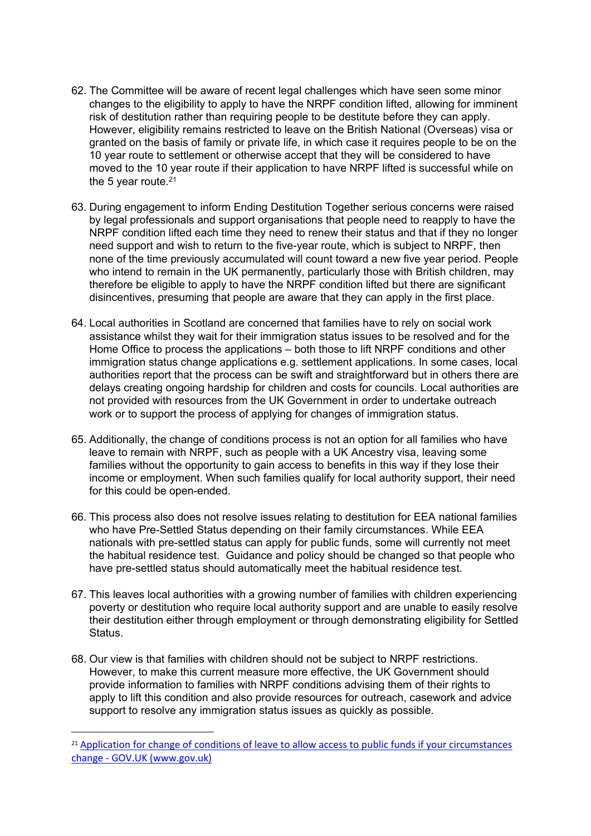- 62. The Committee will be aware of recent legal challenges which have seen some minor changes to the eligibility to apply to have the NRPF condition lifted, allowing for imminent risk of destitution rather than requiring people to be destitute before they can apply. However, eligibility remains restricted to leave on the British National (Overseas) visa or granted on the basis of family or private life, in which case it requires people to be on the 10 year route to settlement or otherwise accept that they will be considered to have moved to the 10 year route if their application to have NRPF lifted is successful while on the 5 year route.<sup>21</sup>
- 63. During engagement to inform Ending Destitution Together serious concerns were raised by legal professionals and support organisations that people need to reapply to have the NRPF condition lifted each time they need to renew their status and that if they no longer need support and wish to return to the five-year route, which is subject to NRPF, then none of the time previously accumulated will count toward a new five year period. People who intend to remain in the UK permanently, particularly those with British children, may therefore be eligible to apply to have the NRPF condition lifted but there are significant disincentives, presuming that people are aware that they can apply in the first place.
- 64. Local authorities in Scotland are concerned that families have to rely on social work assistance whilst they wait for their immigration status issues to be resolved and for the Home Office to process the applications – both those to lift NRPF conditions and other immigration status change applications e.g. settlement applications. In some cases, local authorities report that the process can be swift and straightforward but in others there are delays creating ongoing hardship for children and costs for councils. Local authorities are not provided with resources from the UK Government in order to undertake outreach work or to support the process of applying for changes of immigration status.
- 65. Additionally, the change of conditions process is not an option for all families who have leave to remain with NRPF, such as people with a UK Ancestry visa, leaving some families without the opportunity to gain access to benefits in this way if they lose their income or employment. When such families qualify for local authority support, their need for this could be open-ended.
- 66. This process also does not resolve issues relating to destitution for EEA national families who have Pre-Settled Status depending on their family circumstances. While EEA nationals with pre-settled status can apply for public funds, some will currently not meet the habitual residence test. Guidance and policy should be changed so that people who have pre-settled status should automatically meet the habitual residence test.
- 67. This leaves local authorities with a growing number of families with children experiencing poverty or destitution who require local authority support and are unable to easily resolve their destitution either through employment or through demonstrating eligibility for Settled Status.
- 68. Our view is that families with children should not be subject to NRPF restrictions. However, to make this current measure more effective, the UK Government should provide information to families with NRPF conditions advising them of their rights to apply to lift this condition and also provide resources for outreach, casework and advice support to resolve any immigration status issues as quickly as possible.

<sup>&</sup>lt;sup>21</sup> [Application](https://www.gov.uk/government/publications/application-for-change-of-conditions-of-leave-to-allow-access-to-public-funds-if-your-circumstances-change) [for](https://www.gov.uk/government/publications/application-for-change-of-conditions-of-leave-to-allow-access-to-public-funds-if-your-circumstances-change) [change](https://www.gov.uk/government/publications/application-for-change-of-conditions-of-leave-to-allow-access-to-public-funds-if-your-circumstances-change) [of](https://www.gov.uk/government/publications/application-for-change-of-conditions-of-leave-to-allow-access-to-public-funds-if-your-circumstances-change) [conditions](https://www.gov.uk/government/publications/application-for-change-of-conditions-of-leave-to-allow-access-to-public-funds-if-your-circumstances-change) of [leave](https://www.gov.uk/government/publications/application-for-change-of-conditions-of-leave-to-allow-access-to-public-funds-if-your-circumstances-change) [to](https://www.gov.uk/government/publications/application-for-change-of-conditions-of-leave-to-allow-access-to-public-funds-if-your-circumstances-change) [allow](https://www.gov.uk/government/publications/application-for-change-of-conditions-of-leave-to-allow-access-to-public-funds-if-your-circumstances-change) [access](https://www.gov.uk/government/publications/application-for-change-of-conditions-of-leave-to-allow-access-to-public-funds-if-your-circumstances-change) to [public](https://www.gov.uk/government/publications/application-for-change-of-conditions-of-leave-to-allow-access-to-public-funds-if-your-circumstances-change) [funds](https://www.gov.uk/government/publications/application-for-change-of-conditions-of-leave-to-allow-access-to-public-funds-if-your-circumstances-change) [if](https://www.gov.uk/government/publications/application-for-change-of-conditions-of-leave-to-allow-access-to-public-funds-if-your-circumstances-change) [your](https://www.gov.uk/government/publications/application-for-change-of-conditions-of-leave-to-allow-access-to-public-funds-if-your-circumstances-change) [circumstances](https://www.gov.uk/government/publications/application-for-change-of-conditions-of-leave-to-allow-access-to-public-funds-if-your-circumstances-change) [change](https://www.gov.uk/government/publications/application-for-change-of-conditions-of-leave-to-allow-access-to-public-funds-if-your-circumstances-change) [-](https://www.gov.uk/government/publications/application-for-change-of-conditions-of-leave-to-allow-access-to-public-funds-if-your-circumstances-change) [GOV.UK](https://www.gov.uk/government/publications/application-for-change-of-conditions-of-leave-to-allow-access-to-public-funds-if-your-circumstances-change) [\(www.gov.uk\)](https://www.gov.uk/government/publications/application-for-change-of-conditions-of-leave-to-allow-access-to-public-funds-if-your-circumstances-change)